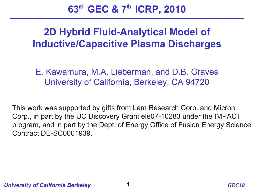**63rd GEC & 7th ICRP, 2010**

#### **2D Hybrid Fluid-Analytical Model of Inductive/Capacitive Plasma Discharges**

E. Kawamura, M.A. Lieberman, and D.B. Graves University of California, Berkeley, CA 94720

 This work was supported by gifts from Lam Research Corp. and Micron Corp., in part by the UC Discovery Grant ele07-10283 under the IMPACT program, and in part by the Dept. of Energy Office of Fusion Energy Science Contract DE-SC0001939.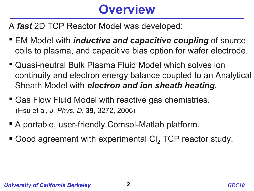## **Overview**

A *fast* 2D TCP Reactor Model was developed:

- EM Model with *inductive and capacitive coupling* of source coils to plasma, and capacitive bias option for wafer electrode.
- Quasi-neutral Bulk Plasma Fluid Model which solves ion continuity and electron energy balance coupled to an Analytical Sheath Model with *electron and ion sheath heating*.
- Gas Flow Fluid Model with reactive gas chemistries. (Hsu et al, *J. Phys. D.* **39**, 3272, 2006)
- A portable, user-friendly Comsol-Matlab platform.
- Good agreement with experimental  $Cl<sub>2</sub> TCP$  reactor study.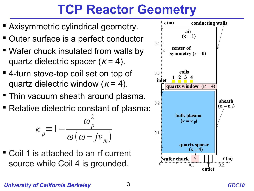## **TCP Reactor Geometry**

- **Axisymmetric cylindrical geometry.**
- Outer surface is a perfect conductor
- Wafer chuck insulated from walls by quartz dielectric spacer  $(\kappa = 4)$ .
- 4-turn stove-top coil set on top of quartz dielectric window ( $\kappa$  = 4).
- **Thin vacuum sheath around plasma.**
- Relative dielectric constant of plasma:

$$
\kappa_p = 1 - \frac{\omega_p^2}{\omega(\omega - jv_m)}
$$

 Coil 1 is attached to an rf current source while Coil 4 is grounded.



#### *University of California Berkeley* **3** *GEC10*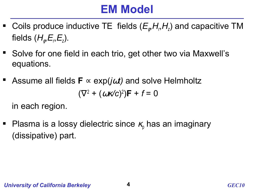### **EM Model**

- **•** Coils produce inductive TE fields  $(E_{\phi}, H_{\phi}, H_{\phi})$  and capacitive TM fields (*H*<sup>φ</sup> ,*E<sup>r</sup>* ,*E<sup>z</sup>* ).
- Solve for one field in each trio, get other two via Maxwell's equations.
- Assume all fields **F** ∝ exp(*j*ω*t)* and solve Helmholtz  $(\nabla^2 + (\omega \kappa/c)^2)F + f = 0$

in each region.

**Plasma is a lossy dielectric since**  $\kappa$  **has an imaginary** (dissipative) part.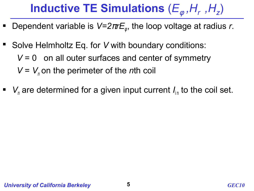# **Inductive TE Simulations**  $(E_{\phi}, H_{r}, H_{z})$

- Dependent variable is V=2πrE<sub>ℓ</sub>, the loop voltage at radius *r*.
- Solve Helmholtz Eq. for *V* with boundary conditions:  $V = 0$  on all outer surfaces and center of symmetry  $V = V_n$  on the perimeter of the *n*th coil
- $V_n$  are determined for a given input current  $I_{in}$  to the coil set.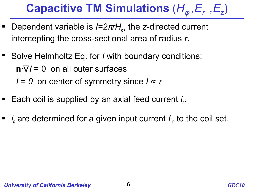# **Capacitive TM Simulations**  $(H_{\phi}, E_{r}, E_{z})$

- Dependent variable is  $I=2πrH$ <sub>φ</sub>, the *z*-directed current intercepting the cross-sectional area of radius *r*.
- Solve Helmholtz Eq. for *I* with boundary conditions: **n**⋅∇*I* = 0 on all outer surfaces  $I = 0$  on center of symmetry since  $I \propto r$
- Each coil is supplied by an axial feed current *i*<sub>n</sub>.
- $\blacksquare$  *i*<sub>n</sub> are determined for a given input current  $I_{\text{in}}$  to the coil set.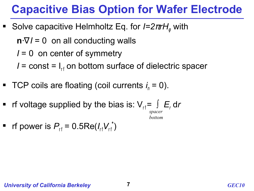#### **Capacitive Bias Option for Wafer Electrode**

■ Solve capacitive Helmholtz Eq. for *I=2πrH*<sub>φ</sub> with

 $\mathbf{n} \cdot \nabla I = 0$  on all conducting walls

*I* = 0on center of symmetry

 $I =$  const =  $I_{rf}$  on bottom surface of dielectric spacer

- TCP coils are floating (coil currents  $i_n = 0$ ).
- rf voltage supplied by the bias is:  $V_{rf} = ∫ E_r dr$

*spacer bottom*

**r** if power is  $P_{rf} = 0.5 \text{Re}(I_{rf} V_{rf}^*)$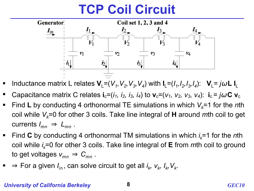## **TCP Coil Circuit**



- Inductance matrix L relates  $V_L = (V_1, V_2, V_3, V_4)$  with  $I_L = (I_1, I_2, I_3, I_4)$ :  $V_L = j\omega L I_L$
- Capacitance matrix C relates  $\mathbf{i}_{c}=(i_1, i_2, i_3, i_4)$  to  $\mathbf{v}_{c}=(v_1, v_2, v_3, v_4)$ :  $\mathbf{i}_{c}=j\omega \mathbf{C} \mathbf{v}_{c}$
- Find **L** by conducting 4 orthonormal TE simulations in which  $V_k = 1$  for the *n*th coil while *Vk*=0 for other 3 coils. Take line integral of **H** around *m*th coil to get currents  $I_{mn} \Rightarrow L_{mn}$ .
- Find **C** by conducting 4 orthonormal TM simulations in which  $i_k$ =1 for the *n*th coil while *i <sup>k</sup>*=0 for other 3 coils. Take line integral of **E** from *m*th coil to ground to get voltages  $v_{mn} \Rightarrow C_{mn}$ .
- ⇒ For a given  $I_{\text{in}}$ , can solve circuit to get all  $i_k$ ,  $v_k$ ,  $I_k$ ,  $V_k$ .

#### *University of California Berkeley* **8** *GEC10*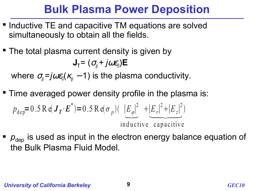## **Bulk Plasma Power Deposition**

- **Inductive TE and capacitive TM equations are solved** simultaneously to obtain all the fields.
- The total plasma current density is given by  $J_{\text{T}} = (\sigma_{\text{p}} + j\omega \varepsilon_{\text{0}})E$

where  $\sigma_{\!p} = j \omega \varepsilon_{\!0} (\kappa_{\!p} - 1)$  is the plasma conductivity.

- **Time averaged power density profile in the plasma is:**  $p_{\text{dep}} = 0.5 \text{ R} \cdot (\mathbf{J}_T \cdot \mathbf{E}^*) = 0.5 \text{ R} \cdot (\sigma_p) (\left| E_{\varphi} \right|^2 + \left| E_r \right|^2 + \left| E_z \right|^2)$ inductive capacitive n the pla:<br> $\frac{|E_r|^2 + |E_z|^2}{\sqrt{2E_r}}$  $^{2}$
- $p_{\text{dep}}$  is used as input in the electron energy balance equation of the Bulk Plasma Fluid Model.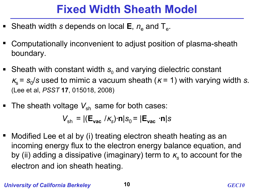## **Fixed Width Sheath Model**

- **Sheath width** *s* **depends on local E**,  $n_e$  and T<sub>e</sub>.
- Computationally inconvenient to adjust position of plasma-sheath boundary.
- **Sheath with constant width**  $s_0$  **and varying dielectric constant**  $\kappa_{\rm s}$  =  $\rm s_{\rm 0}/s$  used to mimic a vacuum sheath ( $\kappa$  = 1) with varying width *s*. (Lee et al, *PSST* **17**, 015018, 2008)
- The sheath voltage  $V_{sh}$  same for both cases:

$$
V_{\rm sh} = |(\mathbf{E}_{\rm vac} / \kappa_{\rm s}) \cdot \mathbf{n}|s_0 = |\mathbf{E}_{\rm vac} \cdot \mathbf{n}|s
$$

■ Modified Lee et al by (i) treating electron sheath heating as an incoming energy flux to the electron energy balance equation, and by (ii) adding a dissipative (imaginary) term to  $\kappa_{\mathsf{s}}$  to account for the electron and ion sheath heating.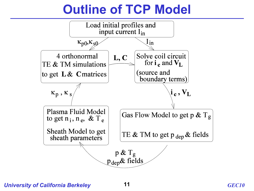## **Outline of TCP Model**

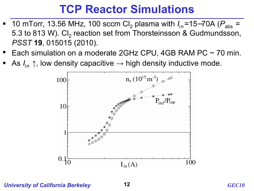#### **TCP Reactor Simulations**

- 10 mTorr, 13.56 MHz, 100 sccm Cl<sub>2</sub> plasma with  $I_{\text{in}}$ =15–70A ( $P_{\text{abs}}$  = 5.3 to 813 W). Cl<sub>2</sub> reaction set from Thorsteinsson & Gudmundsson, *PSST* **19**, 015015 (2010).
- Each simulation on a moderate 2GHz CPU, 4GB RAM PC  $\sim$  70 min.
- As  $I_{\text{in}} \uparrow$ , low density capacitive → high density inductive mode.



*University of California Berkeley* **12** *GEC10*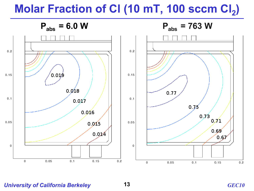## **Molar Fraction of Cl (10 mT, 100 sccm Cl<sup>2</sup> )**



*University of California Berkeley* **13** *GEC10*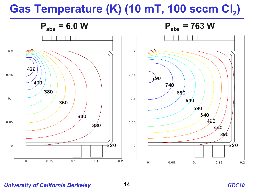## Gas Temperature (K) (10 mT, 100 sccm Cl<sub>2</sub>)



*University of California Berkeley* **14** *GEC10*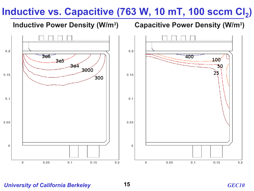#### Inductive vs. Capacitive (763 W, 10 mT, 100 sccm Cl<sub>2</sub>)

#### **Inductive Power Density (W/m<sup>3</sup>**

#### **) Capacitive Power Density (W/m<sup>3</sup> )**



*University of California Berkeley* **15** *GEC10*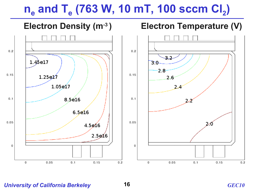## **ne and T<sup>e</sup> (763 W, 10 mT, 100 sccm Cl<sup>2</sup> )**



*University of California Berkeley* **16** *GEC10*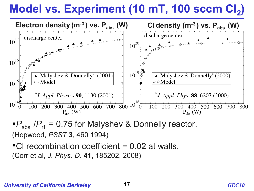# **Model vs. Experiment (10 mT, 100 sccm Cl<sup>2</sup> )**



 $P_{\text{abs}}$  / $P_{\text{rf}}$  = 0.75 for Malyshev & Donnelly reactor. (Hopwood, *PSST* **3**, 460 1994)

Cl recombination coefficient = 0.02 at walls. (Corr et al, *J. Phys. D*. **41**, 185202, 2008)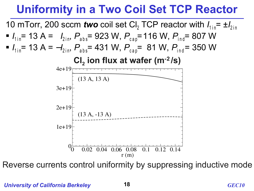## **Uniformity in a Two Coil Set TCP Reactor**



Reverse currents control uniformity by suppressing inductive mode